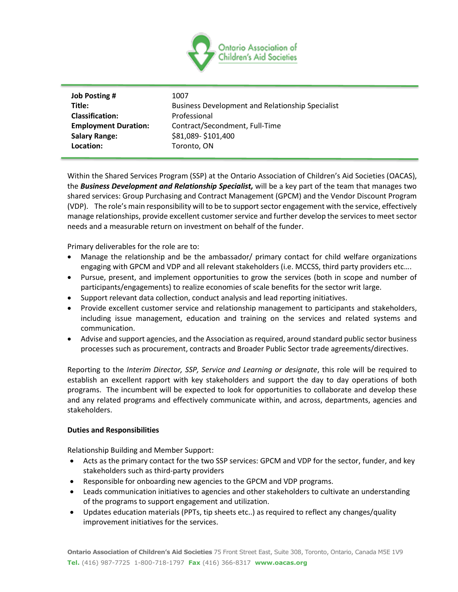

| <b>Job Posting #</b>        | 1007                                                    |
|-----------------------------|---------------------------------------------------------|
| Title:                      | <b>Business Development and Relationship Specialist</b> |
| <b>Classification:</b>      | Professional                                            |
| <b>Employment Duration:</b> | Contract/Secondment, Full-Time                          |
| <b>Salary Range:</b>        | \$81,089-\$101,400                                      |
| Location:                   | Toronto, ON                                             |

Within the Shared Services Program (SSP) at the Ontario Association of Children's Aid Societies (OACAS), the *Business Development and Relationship Specialist,* will be a key part of the team that manages two shared services: Group Purchasing and Contract Management (GPCM) and the Vendor Discount Program (VDP). The role's main responsibility will to be to support sector engagement with the service, effectively manage relationships, provide excellent customer service and further develop the services to meet sector needs and a measurable return on investment on behalf of the funder.

Primary deliverables for the role are to:

- Manage the relationship and be the ambassador/ primary contact for child welfare organizations engaging with GPCM and VDP and all relevant stakeholders (i.e. MCCSS, third party providers etc….
- Pursue, present, and implement opportunities to grow the services (both in scope and number of participants/engagements) to realize economies of scale benefits for the sector writ large.
- Support relevant data collection, conduct analysis and lead reporting initiatives.
- Provide excellent customer service and relationship management to participants and stakeholders, including issue management, education and training on the services and related systems and communication.
- Advise and support agencies, and the Association as required, around standard public sector business processes such as procurement, contracts and Broader Public Sector trade agreements/directives.

Reporting to the *Interim Director, SSP, Service and Learning or designate*, this role will be required to establish an excellent rapport with key stakeholders and support the day to day operations of both programs. The incumbent will be expected to look for opportunities to collaborate and develop these and any related programs and effectively communicate within, and across, departments, agencies and stakeholders.

## **Duties and Responsibilities**

Relationship Building and Member Support:

- Acts as the primary contact for the two SSP services: GPCM and VDP for the sector, funder, and key stakeholders such as third-party providers
- Responsible for onboarding new agencies to the GPCM and VDP programs.
- Leads communication initiatives to agencies and other stakeholders to cultivate an understanding of the programs to support engagement and utilization.
- Updates education materials (PPTs, tip sheets etc..) as required to reflect any changes/quality improvement initiatives for the services.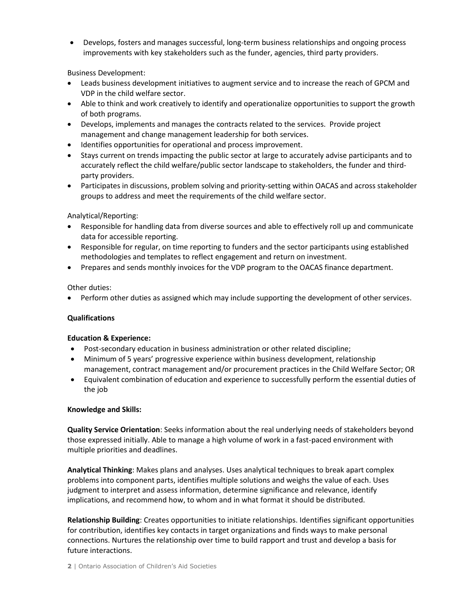• Develops, fosters and manages successful, long-term business relationships and ongoing process improvements with key stakeholders such as the funder, agencies, third party providers.

Business Development:

- Leads business development initiatives to augment service and to increase the reach of GPCM and VDP in the child welfare sector.
- Able to think and work creatively to identify and operationalize opportunities to support the growth of both programs.
- Develops, implements and manages the contracts related to the services. Provide project management and change management leadership for both services.
- Identifies opportunities for operational and process improvement.
- Stays current on trends impacting the public sector at large to accurately advise participants and to accurately reflect the child welfare/public sector landscape to stakeholders, the funder and thirdparty providers.
- Participates in discussions, problem solving and priority-setting within OACAS and across stakeholder groups to address and meet the requirements of the child welfare sector.

# Analytical/Reporting:

- Responsible for handling data from diverse sources and able to effectively roll up and communicate data for accessible reporting.
- Responsible for regular, on time reporting to funders and the sector participants using established methodologies and templates to reflect engagement and return on investment.
- Prepares and sends monthly invoices for the VDP program to the OACAS finance department.

Other duties:

• Perform other duties as assigned which may include supporting the development of other services.

## **Qualifications**

## **Education & Experience:**

- Post-secondary education in business administration or other related discipline;
- Minimum of 5 years' progressive experience within business development, relationship management, contract management and/or procurement practices in the Child Welfare Sector; OR
- Equivalent combination of education and experience to successfully perform the essential duties of the job

## **Knowledge and Skills:**

**Quality Service Orientation**: Seeks information about the real underlying needs of stakeholders beyond those expressed initially. Able to manage a high volume of work in a fast-paced environment with multiple priorities and deadlines.

**Analytical Thinking**: Makes plans and analyses. Uses analytical techniques to break apart complex problems into component parts, identifies multiple solutions and weighs the value of each. Uses judgment to interpret and assess information, determine significance and relevance, identify implications, and recommend how, to whom and in what format it should be distributed.

**Relationship Building**: Creates opportunities to initiate relationships. Identifies significant opportunities for contribution, identifies key contacts in target organizations and finds ways to make personal connections. Nurtures the relationship over time to build rapport and trust and develop a basis for future interactions.